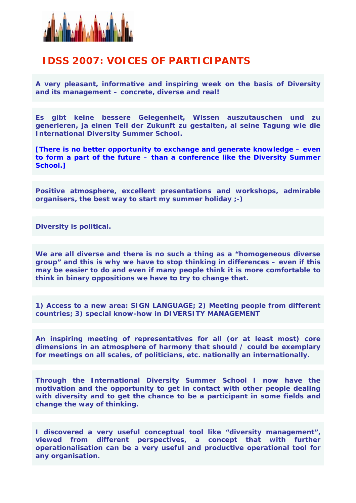

## **IDSS 2007: VOICES OF PARTICIPANTS**

**A very pleasant, informative and inspiring week on the basis of Diversity and its management – concrete, diverse and real!** 

**Es gibt keine bessere Gelegenheit, Wissen auszutauschen und zu generieren, ja einen Teil der Zukunft zu gestalten, al seine Tagung wie die International Diversity Summer School.** 

**[There is no better opportunity to exchange and generate knowledge – even to form a part of the future – than a conference like the Diversity Summer School.]** 

**Positive atmosphere, excellent presentations and workshops, admirable organisers, the best way to start my summer holiday ;-)** 

**Diversity is political.** 

**We are all diverse and there is no such a thing as a "homogeneous diverse group" and this is why we have to stop thinking in differences – even if this may be easier to do and even if many people think it is more comfortable to think in binary oppositions we have to try to change that.** 

**1) Access to a new area: SIGN LANGUAGE; 2) Meeting people from different countries; 3) special know-how in DIVERSITY MANAGEMENT** 

**An inspiring meeting of representatives for all (or at least most) core dimensions in an atmosphere of harmony that should / could be exemplary for meetings on all scales, of politicians, etc. nationally an internationally.** 

**Through the International Diversity Summer School I now have the motivation and the opportunity to get in contact with other people dealing with diversity and to get the chance to be a participant in some fields and change the way of thinking.** 

**I discovered a very useful conceptual tool like "diversity management", viewed from different perspectives, a concept that with further operationalisation can be a very useful and productive operational tool for any organisation.**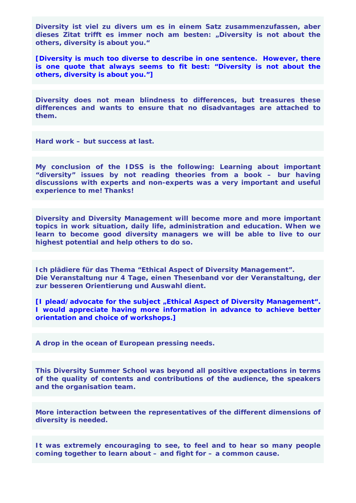**Diversity ist viel zu divers um es in einem Satz zusammenzufassen, aber dieses Zitat trifft es immer noch am besten: "Diversity is not about the others, diversity is about you."** 

**[Diversity is much too diverse to describe in one sentence. However, there is one quote that always seems to fit best: "Diversity is not about the others, diversity is about you."]** 

**Diversity does not mean blindness to differences, but treasures these differences and wants to ensure that no disadvantages are attached to them.** 

**Hard work – but success at last.** 

**My conclusion of the IDSS is the following: Learning about important "diversity" issues by not reading theories from a book – bur having discussions with experts and non-experts was a very important and useful experience to me! Thanks!** 

**Diversity and Diversity Management will become more and more important topics in work situation, daily life, administration and education. When we learn to become good diversity managers we will be able to live to our highest potential and help others to do so.** 

**Ich plädiere für das Thema "Ethical Aspect of Diversity Management". Die Veranstaltung nur 4 Tage, einen Thesenband vor der Veranstaltung, der zur besseren Orientierung und Auswahl dient.** 

[I plead/advocate for the subject "Ethical Aspect of Diversity Management". **I would appreciate having more information in advance to achieve better orientation and choice of workshops.]** 

**A drop in the ocean of European pressing needs.** 

**This Diversity Summer School was beyond all positive expectations in terms of the quality of contents and contributions of the audience, the speakers and the organisation team.** 

**More interaction between the representatives of the different dimensions of diversity is needed.** 

**It was extremely encouraging to see, to feel and to hear so many people coming together to learn about – and fight for – a common cause.**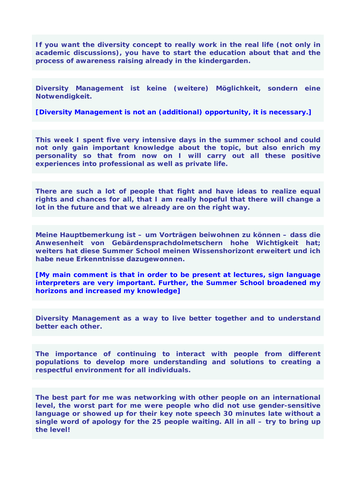**If you want the diversity concept to really work in the real life (not only in academic discussions), you have to start the education about that and the process of awareness raising already in the kindergarden.** 

**Diversity Management ist keine (weitere) Möglichkeit, sondern eine Notwendigkeit.** 

**[Diversity Management is not an (additional) opportunity, it is necessary.]** 

**This week I spent five very intensive days in the summer school and could not only gain important knowledge about the topic, but also enrich my personality so that from now on I will carry out all these positive experiences into professional as well as private life.** 

**There are such a lot of people that fight and have ideas to realize equal rights and chances for all, that I am really hopeful that there will change a lot in the future and that we already are on the right way.** 

**Meine Hauptbemerkung ist – um Vorträgen beiwohnen zu können – dass die Anwesenheit von Gebärdensprachdolmetschern hohe Wichtigkeit hat; weiters hat diese Summer School meinen Wissenshorizont erweitert und ich habe neue Erkenntnisse dazugewonnen.** 

**[My main comment is that in order to be present at lectures, sign language interpreters are very important. Further, the Summer School broadened my horizons and increased my knowledge]** 

**Diversity Management as a way to live better together and to understand better each other.** 

**The importance of continuing to interact with people from different populations to develop more understanding and solutions to creating a respectful environment for all individuals.** 

**The best part for me was networking with other people on an international level, the worst part for me were people who did not use gender-sensitive language or showed up for their key note speech 30 minutes late without a single word of apology for the 25 people waiting. All in all – try to bring up the level!**